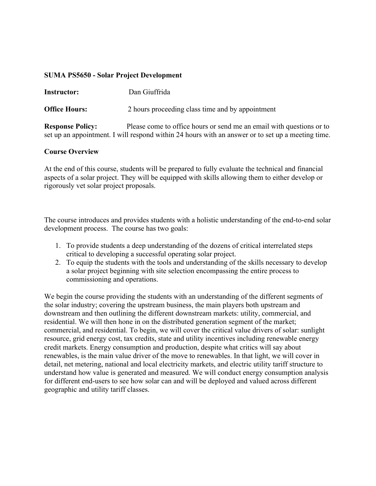#### **SUMA PS5650 - Solar Project Development**

## **Instructor:** Dan Giuffrida

**Office Hours:** 2 hours proceeding class time and by appointment

**Response Policy:** Please come to office hours or send me an email with questions or to set up an appointment. I will respond within 24 hours with an answer or to set up a meeting time.

### **Course Overview**

At the end of this course, students will be prepared to fully evaluate the technical and financial aspects of a solar project. They will be equipped with skills allowing them to either develop or rigorously vet solar project proposals.

The course introduces and provides students with a holistic understanding of the end-to-end solar development process. The course has two goals:

- 1. To provide students a deep understanding of the dozens of critical interrelated steps critical to developing a successful operating solar project.
- 2. To equip the students with the tools and understanding of the skills necessary to develop a solar project beginning with site selection encompassing the entire process to commissioning and operations.

We begin the course providing the students with an understanding of the different segments of the solar industry; covering the upstream business, the main players both upstream and downstream and then outlining the different downstream markets: utility, commercial, and residential. We will then hone in on the distributed generation segment of the market; commercial, and residential. To begin, we will cover the critical value drivers of solar: sunlight resource, grid energy cost, tax credits, state and utility incentives including renewable energy credit markets. Energy consumption and production, despite what critics will say about renewables, is the main value driver of the move to renewables. In that light, we will cover in detail, net metering, national and local electricity markets, and electric utility tariff structure to understand how value is generated and measured. We will conduct energy consumption analysis for different end-users to see how solar can and will be deployed and valued across different geographic and utility tariff classes.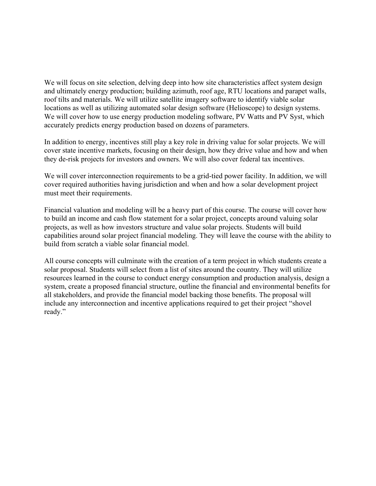We will focus on site selection, delving deep into how site characteristics affect system design and ultimately energy production; building azimuth, roof age, RTU locations and parapet walls, roof tilts and materials. We will utilize satellite imagery software to identify viable solar locations as well as utilizing automated solar design software (Helioscope) to design systems. We will cover how to use energy production modeling software, PV Watts and PV Syst, which accurately predicts energy production based on dozens of parameters.

In addition to energy, incentives still play a key role in driving value for solar projects. We will cover state incentive markets, focusing on their design, how they drive value and how and when they de-risk projects for investors and owners. We will also cover federal tax incentives.

We will cover interconnection requirements to be a grid-tied power facility. In addition, we will cover required authorities having jurisdiction and when and how a solar development project must meet their requirements.

Financial valuation and modeling will be a heavy part of this course. The course will cover how to build an income and cash flow statement for a solar project, concepts around valuing solar projects, as well as how investors structure and value solar projects. Students will build capabilities around solar project financial modeling. They will leave the course with the ability to build from scratch a viable solar financial model.

All course concepts will culminate with the creation of a term project in which students create a solar proposal. Students will select from a list of sites around the country. They will utilize resources learned in the course to conduct energy consumption and production analysis, design a system, create a proposed financial structure, outline the financial and environmental benefits for all stakeholders, and provide the financial model backing those benefits. The proposal will include any interconnection and incentive applications required to get their project "shovel ready."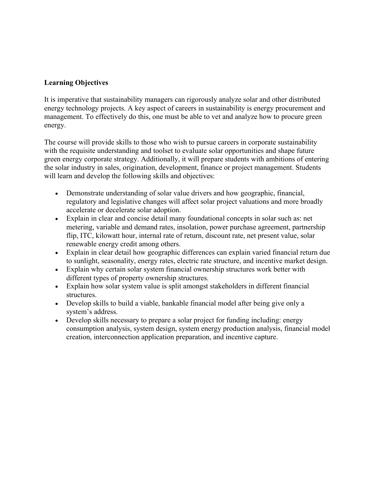# **Learning Objectives**

It is imperative that sustainability managers can rigorously analyze solar and other distributed energy technology projects. A key aspect of careers in sustainability is energy procurement and management. To effectively do this, one must be able to vet and analyze how to procure green energy.

The course will provide skills to those who wish to pursue careers in corporate sustainability with the requisite understanding and toolset to evaluate solar opportunities and shape future green energy corporate strategy. Additionally, it will prepare students with ambitions of entering the solar industry in sales, origination, development, finance or project management. Students will learn and develop the following skills and objectives:

- Demonstrate understanding of solar value drivers and how geographic, financial, regulatory and legislative changes will affect solar project valuations and more broadly accelerate or decelerate solar adoption.
- Explain in clear and concise detail many foundational concepts in solar such as: net metering, variable and demand rates, insolation, power purchase agreement, partnership flip, ITC, kilowatt hour, internal rate of return, discount rate, net present value, solar renewable energy credit among others.
- Explain in clear detail how geographic differences can explain varied financial return due to sunlight, seasonality, energy rates, electric rate structure, and incentive market design.
- Explain why certain solar system financial ownership structures work better with different types of property ownership structures.
- Explain how solar system value is split amongst stakeholders in different financial **structures**
- Develop skills to build a viable, bankable financial model after being give only a system's address.
- Develop skills necessary to prepare a solar project for funding including: energy consumption analysis, system design, system energy production analysis, financial model creation, interconnection application preparation, and incentive capture.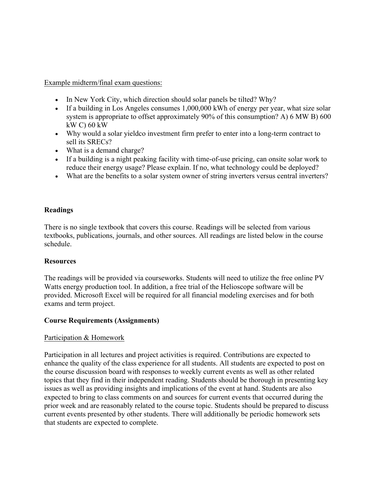Example midterm/final exam questions:

- In New York City, which direction should solar panels be tilted? Why?
- If a building in Los Angeles consumes 1,000,000 kWh of energy per year, what size solar system is appropriate to offset approximately 90% of this consumption? A) 6 MW B) 600 kW C) 60 kW
- Why would a solar yieldco investment firm prefer to enter into a long-term contract to sell its SRECs?
- What is a demand charge?
- If a building is a night peaking facility with time-of-use pricing, can onsite solar work to reduce their energy usage? Please explain. If no, what technology could be deployed?
- What are the benefits to a solar system owner of string inverters versus central inverters?

## **Readings**

There is no single textbook that covers this course. Readings will be selected from various textbooks, publications, journals, and other sources. All readings are listed below in the course schedule.

## **Resources**

The readings will be provided via courseworks. Students will need to utilize the free online PV Watts energy production tool. In addition, a free trial of the Helioscope software will be provided. Microsoft Excel will be required for all financial modeling exercises and for both exams and term project.

## **Course Requirements (Assignments)**

## Participation & Homework

Participation in all lectures and project activities is required. Contributions are expected to enhance the quality of the class experience for all students. All students are expected to post on the course discussion board with responses to weekly current events as well as other related topics that they find in their independent reading. Students should be thorough in presenting key issues as well as providing insights and implications of the event at hand. Students are also expected to bring to class comments on and sources for current events that occurred during the prior week and are reasonably related to the course topic. Students should be prepared to discuss current events presented by other students. There will additionally be periodic homework sets that students are expected to complete.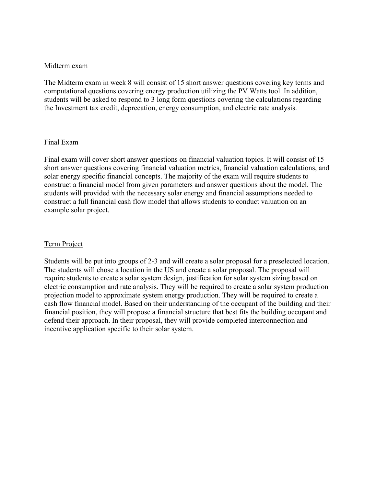#### Midterm exam

The Midterm exam in week 8 will consist of 15 short answer questions covering key terms and computational questions covering energy production utilizing the PV Watts tool. In addition, students will be asked to respond to 3 long form questions covering the calculations regarding the Investment tax credit, deprecation, energy consumption, and electric rate analysis.

#### Final Exam

Final exam will cover short answer questions on financial valuation topics. It will consist of 15 short answer questions covering financial valuation metrics, financial valuation calculations, and solar energy specific financial concepts. The majority of the exam will require students to construct a financial model from given parameters and answer questions about the model. The students will provided with the necessary solar energy and financial assumptions needed to construct a full financial cash flow model that allows students to conduct valuation on an example solar project.

#### Term Project

Students will be put into groups of 2-3 and will create a solar proposal for a preselected location. The students will chose a location in the US and create a solar proposal. The proposal will require students to create a solar system design, justification for solar system sizing based on electric consumption and rate analysis. They will be required to create a solar system production projection model to approximate system energy production. They will be required to create a cash flow financial model. Based on their understanding of the occupant of the building and their financial position, they will propose a financial structure that best fits the building occupant and defend their approach. In their proposal, they will provide completed interconnection and incentive application specific to their solar system.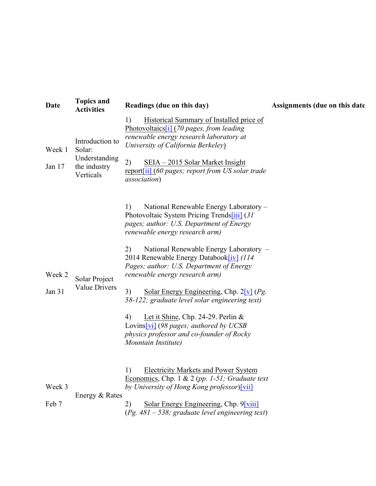| Date             | <b>Topics and</b><br><b>Activities</b>                                  | Readings (due on this day)                                                                                                                                                                                                                                                                                                                                                                                                                                                                                                                                                                                             | Assignments (due on this date |
|------------------|-------------------------------------------------------------------------|------------------------------------------------------------------------------------------------------------------------------------------------------------------------------------------------------------------------------------------------------------------------------------------------------------------------------------------------------------------------------------------------------------------------------------------------------------------------------------------------------------------------------------------------------------------------------------------------------------------------|-------------------------------|
| Week 1<br>Jan 17 | Introduction to<br>Solar:<br>Understanding<br>the industry<br>Verticals | Historical Summary of Installed price of<br>1)<br>Photovoltaics[i] (70 pages, from leading<br>renewable energy research laboratory at<br>University of California Berkeley)<br>2)<br><u>SEIA – 2015 Solar Market Insight</u><br>report[ii] (60 pages; report from US solar trade<br><i>association</i> )                                                                                                                                                                                                                                                                                                               |                               |
| Week 2<br>Jan 31 | Solar Project<br><b>Value Drivers</b>                                   | 1)<br>National Renewable Energy Laboratory -<br>Photovoltaic System Pricing Trends[iii] (31)<br>pages; author: U.S. Department of Energy<br>renewable energy research arm)<br>2)<br>National Renewable Energy Laboratory -<br>2014 Renewable Energy Databook[iv] (114<br>Pages; author: U.S. Department of Energy<br>renewable energy research arm)<br>3)<br>Solar Energy Engineering, Chp. $2[v]$ (Pg.<br>58-122; graduate level solar engineering text)<br>Let it Shine, Chp. 24-29. Perlin $&$<br>4)<br>Lovins [vi] (98 pages; authored by UCSB<br>physics professor and co-founder of Rocky<br>Mountain Institute) |                               |
| Week 3<br>Feb 7  | Energy & Rates                                                          | <b>Electricity Markets and Power System</b><br>1)<br>Economics, Chp. 1 & 2 (pp. 1-51; Graduate text<br>by University of Hong Kong professor)[vii]<br>Solar Energy Engineering, Chp. 9[viii]<br>2)<br>$(Pg. 481 - 538;$ graduate level engineering text)                                                                                                                                                                                                                                                                                                                                                                |                               |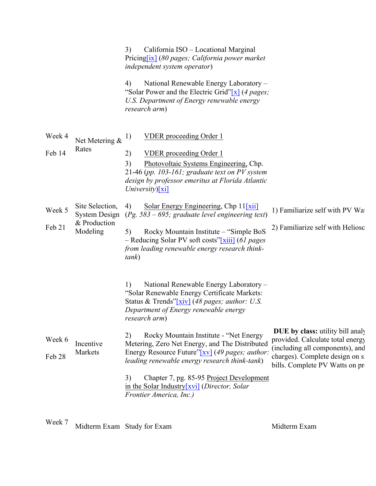|                             |                                                              | 3)<br>California ISO – Locational Marginal<br>Pricing[ix] (80 pages; California power market<br>independent system operator)<br>4)<br>National Renewable Energy Laboratory -<br>"Solar Power and the Electric Grid" $x$ (4 pages;<br>U.S. Department of Energy renewable energy<br>research arm)                                                                                                                                                                                                                                                             |                                                                                                                                                                                      |
|-----------------------------|--------------------------------------------------------------|--------------------------------------------------------------------------------------------------------------------------------------------------------------------------------------------------------------------------------------------------------------------------------------------------------------------------------------------------------------------------------------------------------------------------------------------------------------------------------------------------------------------------------------------------------------|--------------------------------------------------------------------------------------------------------------------------------------------------------------------------------------|
| Week 4<br>Feb 14            | Net Metering $\&$ <sup>1)</sup><br>Rates                     | <b>VDER</b> proceeding Order 1<br>2)<br><b>VDER</b> proceeding Order 1<br>3)<br>Photovoltaic Systems Engineering, Chp.<br>21-46 (pp. 103-161; graduate text on PV system<br>design by professor emeritus at Florida Atlantic<br>University) $\lceil x i \rceil$                                                                                                                                                                                                                                                                                              |                                                                                                                                                                                      |
| Week 5<br>Feb 21            | Site Selection,<br>System Design<br>& Production<br>Modeling | Solar Energy Engineering, Chp $11[xii]$<br>4)<br>$(Pg. 583 - 695;$ graduate level engineering text)<br>Rocky Mountain Institute - "Simple BoS<br>5)<br>- Reducing Solar PV soft costs"[xiii] (61 pages<br>from leading renewable energy research think-<br>tank)                                                                                                                                                                                                                                                                                             | 1) Familiarize self with PV Wat<br>2) Familiarize self with Heliosc                                                                                                                  |
| Week 6<br>Feb <sub>28</sub> | Incentive<br>Markets                                         | National Renewable Energy Laboratory -<br>1)<br>"Solar Renewable Energy Certificate Markets:<br>Status & Trends"[xiv] (48 pages; author: U.S.<br>Department of Energy renewable energy<br>research arm)<br>Rocky Mountain Institute - "Net Energy<br>2)<br>Metering, Zero Net Energy, and The Distributed<br>Energy Resource Future"[xv] (49 pages; author:<br>leading renewable energy research think-tank)<br>3)<br>Chapter 7, pg. 85-95 Project Development<br>in the Solar Industry[ $xvi$ ] ( <i>Director</i> , <i>Solar</i><br>Frontier America, Inc.) | <b>DUE</b> by class: utility bill analy<br>provided. Calculate total energy<br>(including all components), and<br>charges). Complete design on si<br>bills. Complete PV Watts on pro |
|                             |                                                              |                                                                                                                                                                                                                                                                                                                                                                                                                                                                                                                                                              |                                                                                                                                                                                      |

Week 7 Midterm Exam Study for Exam Midterm Exam Midterm Exam Midterm Exam Midterm Exam Midterm Exam Midterm Exam Midterm Exam Midterm Exam Midterm Exam Midterm Exam Midterm Exam Midterm Exam Midterm Exam Midterm Exam Midte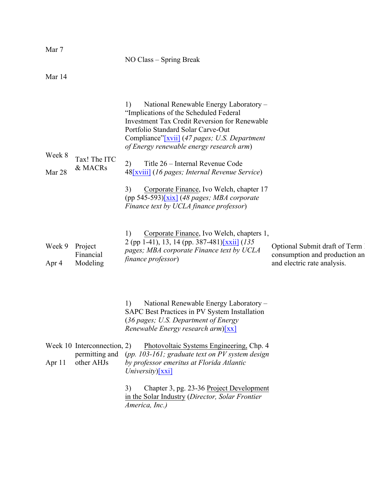|                  |                         | NO Class – Spring Break                                                                                                                                                                                                                                                                                                                                                                                                                                                                                                            |                                                                  |
|------------------|-------------------------|------------------------------------------------------------------------------------------------------------------------------------------------------------------------------------------------------------------------------------------------------------------------------------------------------------------------------------------------------------------------------------------------------------------------------------------------------------------------------------------------------------------------------------|------------------------------------------------------------------|
| Mar 14           |                         |                                                                                                                                                                                                                                                                                                                                                                                                                                                                                                                                    |                                                                  |
| Week 8<br>Mar 28 | Tax! The ITC<br>& MACRs | 1)<br>National Renewable Energy Laboratory -<br>"Implications of the Scheduled Federal"<br><b>Investment Tax Credit Reversion for Renewable</b><br>Portfolio Standard Solar Carve-Out<br>Compliance"[xvii] (47 pages; U.S. Department<br>of Energy renewable energy research arm)<br>2)<br>Title 26 – Internal Revenue Code<br>48[xviii] (16 pages; Internal Revenue Service)<br>3)<br>Corporate Finance, Ivo Welch, chapter 17<br>(pp 545-593) $\overline{x}$ (48 pages; MBA corporate<br>Finance text by UCLA finance professor) |                                                                  |
| Week 9           | Project<br>Financial    | 1)<br>Corporate Finance, Ivo Welch, chapters 1,<br>2 (pp 1-41), 13, 14 (pp. 387-481)[xxii] (135)<br>pages; MBA corporate Finance text by UCLA                                                                                                                                                                                                                                                                                                                                                                                      | Optional Submit draft of Term 1<br>consumption and production an |
| Apr 4            | Modeling                | finance professor)                                                                                                                                                                                                                                                                                                                                                                                                                                                                                                                 | and electric rate analysis.                                      |

1) National Renewable Energy Laboratory – SAPC Best Practices in PV System Installation (*36 pages; U.S. Department of Energy Renewable Energy research arm*)[xx]

|        | Week 10 Interconnection, 2) | Photovoltaic Systems Engineering, Chp. 4                                                    |
|--------|-----------------------------|---------------------------------------------------------------------------------------------|
|        |                             | permitting and (pp. 103-161; graduate text on PV system design                              |
| Apr 11 | other AHJs                  | by professor emeritus at Florida Atlantic<br>$University)$ [xxi]                            |
|        |                             | $C_{n}$ $\cdots$ $C_{n}$ $\cdots$ $C_{n}$ $C_{n}$ $D_{n}$ $\cdots$ $D_{n}$ $\cdots$ $D_{n}$ |

3) Chapter 3, pg. 23-36 Project Development in the Solar Industry (*Director, Solar Frontier America, Inc.)*

Mar 7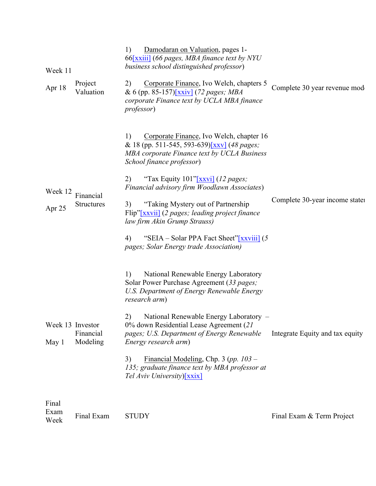| Week 11<br>Apr 18         | Project<br>Valuation           | Damodaran on Valuation, pages 1-<br>1)<br>66[xxiii] (66 pages, MBA finance text by NYU<br>business school distinguished professor)<br>Corporate Finance, Ivo Welch, chapters 5<br>2)<br>& 6 (pp. 85-157)[xxiv] (72 pages; MBA<br>corporate Finance text by UCLA MBA finance<br><i>professor</i> )                                                                                                                                                                                               | Complete 30 year revenue mode   |
|---------------------------|--------------------------------|-------------------------------------------------------------------------------------------------------------------------------------------------------------------------------------------------------------------------------------------------------------------------------------------------------------------------------------------------------------------------------------------------------------------------------------------------------------------------------------------------|---------------------------------|
| Week 12<br>Apr 25         | Financial<br><b>Structures</b> | Corporate Finance, Ivo Welch, chapter 16<br>1)<br>& 18 (pp. 511-545, 593-639)[xxv] (48 pages;<br>MBA corporate Finance text by UCLA Business<br>School finance professor)<br>"Tax Equity 101"[xxvi] (12 pages;<br>2)<br>Financial advisory firm Woodlawn Associates)<br>3)<br>"Taking Mystery out of Partnership"<br>Flip"[xxvii] (2 pages; leading project finance<br>law firm Akin Grump Strauss)<br>4)<br>"SEIA – Solar PPA Fact Sheet"[xxviii] (5<br>pages; Solar Energy trade Association) | Complete 30-year income state   |
| Week 13 Investor<br>May 1 | Financial<br>Modeling          | 1)<br>National Renewable Energy Laboratory<br>Solar Power Purchase Agreement (33 pages;<br>U.S. Department of Energy Renewable Energy<br>research arm)<br>2)<br>National Renewable Energy Laboratory -<br>0% down Residential Lease Agreement (21<br>pages; U.S. Department of Energy Renewable<br>Energy research arm)<br>Financial Modeling, Chp. $3 (pp. 103 -$<br>3)<br>135; graduate finance text by MBA professor at<br>Tel Aviv University)[xxix]                                        | Integrate Equity and tax equity |
| Final<br>Exam<br>Week     | Final Exam                     | <b>STUDY</b>                                                                                                                                                                                                                                                                                                                                                                                                                                                                                    | Final Exam & Term Project       |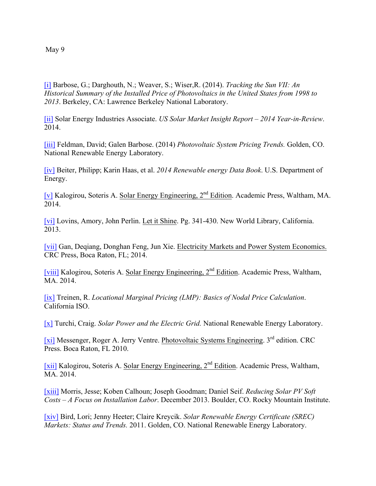May 9

[i] Barbose, G.; Darghouth, N.; Weaver, S.; Wiser,R. (2014). *Tracking the Sun VII: An Historical Summary of the Installed Price of Photovoltaics in the United States from 1998 to 2013*. Berkeley, CA: Lawrence Berkeley National Laboratory.

[ii] Solar Energy Industries Associate. *US Solar Market Insight Report – 2014 Year-in-Review*. 2014.

[iii] Feldman, David; Galen Barbose. (2014) *Photovoltaic System Pricing Trends.* Golden, CO. National Renewable Energy Laboratory.

[iv] Beiter, Philipp; Karin Haas, et al. *2014 Renewable energy Data Book*. U.S. Department of Energy.

[v] Kalogirou, Soteris A. Solar Energy Engineering, 2nd Edition. Academic Press, Waltham, MA. 2014.

[vi] Lovins, Amory, John Perlin. Let it Shine. Pg. 341-430. New World Library, California. 2013.

[vii] Gan, Deqiang, Donghan Feng, Jun Xie. Electricity Markets and Power System Economics. CRC Press, Boca Raton, FL; 2014.

[viii] Kalogirou, Soteris A. Solar Energy Engineering, 2nd Edition. Academic Press, Waltham, MA. 2014.

[ix] Treinen, R. *Locational Marginal Pricing (LMP): Basics of Nodal Price Calculation*. California ISO.

[x] Turchi, Craig. *Solar Power and the Electric Grid.* National Renewable Energy Laboratory.

[xi] Messenger, Roger A. Jerry Ventre. Photovoltaic Systems Engineering. 3<sup>rd</sup> edition. CRC Press. Boca Raton, FL 2010.

[xii] Kalogirou, Soteris A. Solar Energy Engineering, 2nd Edition. Academic Press, Waltham, MA. 2014.

[xiii] Morris, Jesse; Koben Calhoun; Joseph Goodman; Daniel Seif. *Reducing Solar PV Soft Costs – A Focus on Installation Labor*. December 2013. Boulder, CO. Rocky Mountain Institute.

[xiv] Bird, Lori; Jenny Heeter; Claire Kreycik. *Solar Renewable Energy Certificate (SREC) Markets: Status and Trends.* 2011. Golden, CO. National Renewable Energy Laboratory.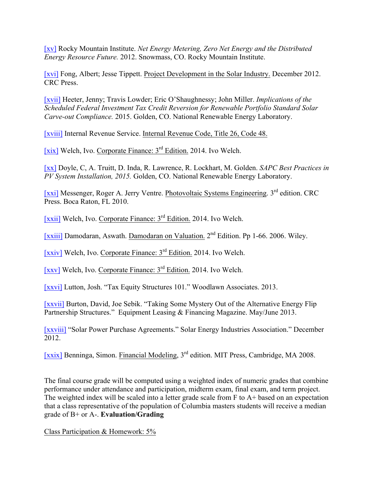[xv] Rocky Mountain Institute. *Net Energy Metering, Zero Net Energy and the Distributed Energy Resource Future.* 2012. Snowmass, CO. Rocky Mountain Institute.

[xvi] Fong, Albert; Jesse Tippett. Project Development in the Solar Industry. December 2012. CRC Press.

[xvii] Heeter, Jenny; Travis Lowder; Eric O'Shaughnessy; John Miller. *Implications of the Scheduled Federal Investment Tax Credit Reversion for Renewable Portfolio Standard Solar Carve-out Compliance.* 2015. Golden, CO. National Renewable Energy Laboratory.

[xviii] Internal Revenue Service. Internal Revenue Code, Title 26, Code 48.

[xix] Welch, Ivo. Corporate Finance: 3rd Edition. 2014. Ivo Welch.

[xx] Doyle, C, A. Truitt, D. Inda, R. Lawrence, R. Lockhart, M. Golden. *SAPC Best Practices in PV System Installation, 2015.* Golden, CO. National Renewable Energy Laboratory.

[xxi] Messenger, Roger A. Jerry Ventre. Photovoltaic Systems Engineering. 3rd edition. CRC Press. Boca Raton, FL 2010.

[xxii] Welch, Ivo. Corporate Finance: 3<sup>rd</sup> Edition. 2014. Ivo Welch.

[xxiii] Damodaran, Aswath. Damodaran on Valuation. 2nd Edition. Pp 1-66. 2006. Wiley.

[xxiv] Welch, Ivo. Corporate Finance: 3<sup>rd</sup> Edition. 2014. Ivo Welch.

[xxv] Welch, Ivo. Corporate Finance: 3rd Edition. 2014. Ivo Welch.

[xxvi] Lutton, Josh. "Tax Equity Structures 101." Woodlawn Associates. 2013.

[xxvii] Burton, David, Joe Sebik. "Taking Some Mystery Out of the Alternative Energy Flip Partnership Structures." Equipment Leasing & Financing Magazine. May/June 2013.

[xxviii] "Solar Power Purchase Agreements." Solar Energy Industries Association." December 2012.

[xxix] Benninga, Simon. Financial Modeling, 3rd edition. MIT Press, Cambridge, MA 2008.

The final course grade will be computed using a weighted index of numeric grades that combine performance under attendance and participation, midterm exam, final exam, and term project. The weighted index will be scaled into a letter grade scale from F to A+ based on an expectation that a class representative of the population of Columbia masters students will receive a median grade of B+ or A-. **Evaluation/Grading**

Class Participation & Homework: 5%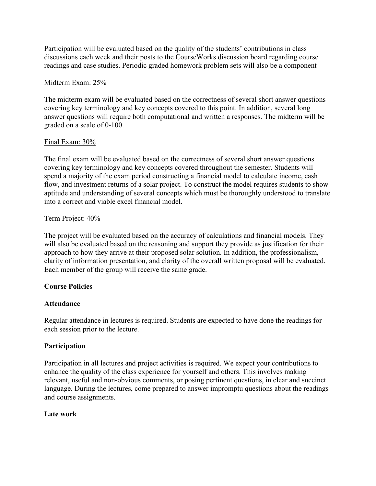Participation will be evaluated based on the quality of the students' contributions in class discussions each week and their posts to the CourseWorks discussion board regarding course readings and case studies. Periodic graded homework problem sets will also be a component

## Midterm Exam: 25%

The midterm exam will be evaluated based on the correctness of several short answer questions covering key terminology and key concepts covered to this point. In addition, several long answer questions will require both computational and written a responses. The midterm will be graded on a scale of 0-100.

### Final Exam: 30%

The final exam will be evaluated based on the correctness of several short answer questions covering key terminology and key concepts covered throughout the semester. Students will spend a majority of the exam period constructing a financial model to calculate income, cash flow, and investment returns of a solar project. To construct the model requires students to show aptitude and understanding of several concepts which must be thoroughly understood to translate into a correct and viable excel financial model.

### Term Project: 40%

The project will be evaluated based on the accuracy of calculations and financial models. They will also be evaluated based on the reasoning and support they provide as justification for their approach to how they arrive at their proposed solar solution. In addition, the professionalism, clarity of information presentation, and clarity of the overall written proposal will be evaluated. Each member of the group will receive the same grade.

## **Course Policies**

## **Attendance**

Regular attendance in lectures is required. Students are expected to have done the readings for each session prior to the lecture.

## **Participation**

Participation in all lectures and project activities is required. We expect your contributions to enhance the quality of the class experience for yourself and others. This involves making relevant, useful and non-obvious comments, or posing pertinent questions, in clear and succinct language. During the lectures, come prepared to answer impromptu questions about the readings and course assignments.

#### **Late work**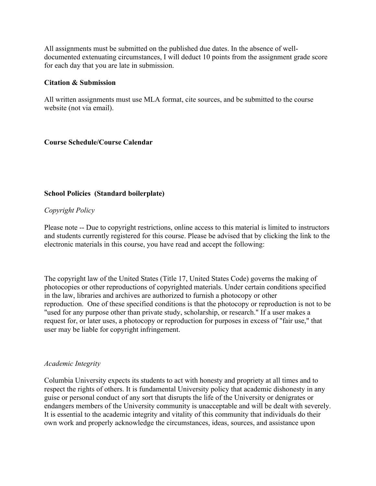All assignments must be submitted on the published due dates. In the absence of welldocumented extenuating circumstances, I will deduct 10 points from the assignment grade score for each day that you are late in submission.

#### **Citation & Submission**

All written assignments must use MLA format, cite sources, and be submitted to the course website (not via email).

### **Course Schedule/Course Calendar**

### **School Policies (Standard boilerplate)**

### *Copyright Policy*

Please note -- Due to copyright restrictions, online access to this material is limited to instructors and students currently registered for this course. Please be advised that by clicking the link to the electronic materials in this course, you have read and accept the following:

The copyright law of the United States (Title 17, United States Code) governs the making of photocopies or other reproductions of copyrighted materials. Under certain conditions specified in the law, libraries and archives are authorized to furnish a photocopy or other reproduction. One of these specified conditions is that the photocopy or reproduction is not to be "used for any purpose other than private study, scholarship, or research." If a user makes a request for, or later uses, a photocopy or reproduction for purposes in excess of "fair use," that user may be liable for copyright infringement.

#### *Academic Integrity*

Columbia University expects its students to act with honesty and propriety at all times and to respect the rights of others. It is fundamental University policy that academic dishonesty in any guise or personal conduct of any sort that disrupts the life of the University or denigrates or endangers members of the University community is unacceptable and will be dealt with severely. It is essential to the academic integrity and vitality of this community that individuals do their own work and properly acknowledge the circumstances, ideas, sources, and assistance upon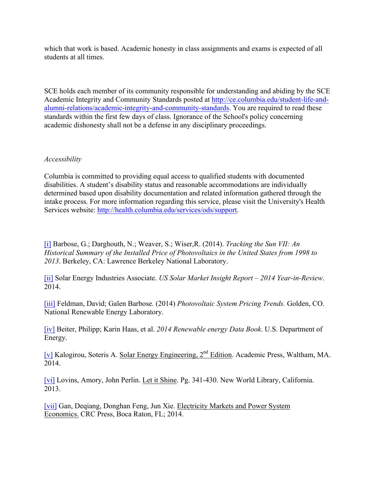which that work is based. Academic honesty in class assignments and exams is expected of all students at all times.

SCE holds each member of its community responsible for understanding and abiding by the SCE Academic Integrity and Community Standards posted at http://ce.columbia.edu/student-life-andalumni-relations/academic-integrity-and-community-standards. You are required to read these standards within the first few days of class. Ignorance of the School's policy concerning academic dishonesty shall not be a defense in any disciplinary proceedings.

### *Accessibility*

Columbia is committed to providing equal access to qualified students with documented disabilities. A student's disability status and reasonable accommodations are individually determined based upon disability documentation and related information gathered through the intake process. For more information regarding this service, please visit the University's Health Services website: http://health.columbia.edu/services/ods/support.

[i] Barbose, G.; Darghouth, N.; Weaver, S.; Wiser,R. (2014). *Tracking the Sun VII: An Historical Summary of the Installed Price of Photovoltaics in the United States from 1998 to 2013*. Berkeley, CA: Lawrence Berkeley National Laboratory.

[ii] Solar Energy Industries Associate. *US Solar Market Insight Report – 2014 Year-in-Review*. 2014.

[iii] Feldman, David; Galen Barbose. (2014) *Photovoltaic System Pricing Trends.* Golden, CO. National Renewable Energy Laboratory.

[iv] Beiter, Philipp; Karin Haas, et al. *2014 Renewable energy Data Book*. U.S. Department of Energy.

[v] Kalogirou, Soteris A. Solar Energy Engineering, 2nd Edition. Academic Press, Waltham, MA. 2014.

[vi] Lovins, Amory, John Perlin. Let it Shine. Pg. 341-430. New World Library, California. 2013.

[vii] Gan, Deqiang, Donghan Feng, Jun Xie. Electricity Markets and Power System Economics. CRC Press, Boca Raton, FL; 2014.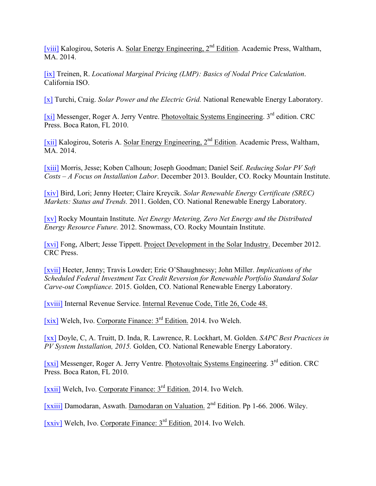[viii] Kalogirou, Soteris A. Solar Energy Engineering, 2nd Edition. Academic Press, Waltham, MA. 2014.

[ix] Treinen, R. *Locational Marginal Pricing (LMP): Basics of Nodal Price Calculation*. California ISO.

[x] Turchi, Craig. *Solar Power and the Electric Grid.* National Renewable Energy Laboratory.

[xi] Messenger, Roger A. Jerry Ventre. Photovoltaic Systems Engineering. 3<sup>rd</sup> edition. CRC Press. Boca Raton, FL 2010.

[xii] Kalogirou, Soteris A. Solar Energy Engineering, 2nd Edition. Academic Press, Waltham, MA. 2014.

[xiii] Morris, Jesse; Koben Calhoun; Joseph Goodman; Daniel Seif. *Reducing Solar PV Soft Costs – A Focus on Installation Labor*. December 2013. Boulder, CO. Rocky Mountain Institute.

[xiv] Bird, Lori; Jenny Heeter; Claire Kreycik. *Solar Renewable Energy Certificate (SREC) Markets: Status and Trends.* 2011. Golden, CO. National Renewable Energy Laboratory.

[xv] Rocky Mountain Institute. *Net Energy Metering, Zero Net Energy and the Distributed Energy Resource Future.* 2012. Snowmass, CO. Rocky Mountain Institute.

[xvi] Fong, Albert; Jesse Tippett. Project Development in the Solar Industry. December 2012. CRC Press.

[xvii] Heeter, Jenny; Travis Lowder; Eric O'Shaughnessy; John Miller. *Implications of the Scheduled Federal Investment Tax Credit Reversion for Renewable Portfolio Standard Solar Carve-out Compliance.* 2015. Golden, CO. National Renewable Energy Laboratory.

[xviii] Internal Revenue Service. Internal Revenue Code, Title 26, Code 48.

[xix] Welch, Ivo. Corporate Finance: 3rd Edition. 2014. Ivo Welch.

[xx] Doyle, C, A. Truitt, D. Inda, R. Lawrence, R. Lockhart, M. Golden. *SAPC Best Practices in PV System Installation, 2015.* Golden, CO. National Renewable Energy Laboratory.

[xxi] Messenger, Roger A. Jerry Ventre. Photovoltaic Systems Engineering. 3<sup>rd</sup> edition. CRC Press. Boca Raton, FL 2010.

[xxii] Welch, Ivo. Corporate Finance: 3rd Edition. 2014. Ivo Welch.

[xxiii] Damodaran, Aswath. Damodaran on Valuation. 2nd Edition. Pp 1-66. 2006. Wiley.

 $[xxi]$  Welch, Ivo. Corporate Finance:  $3<sup>rd</sup>$  Edition. 2014. Ivo Welch.